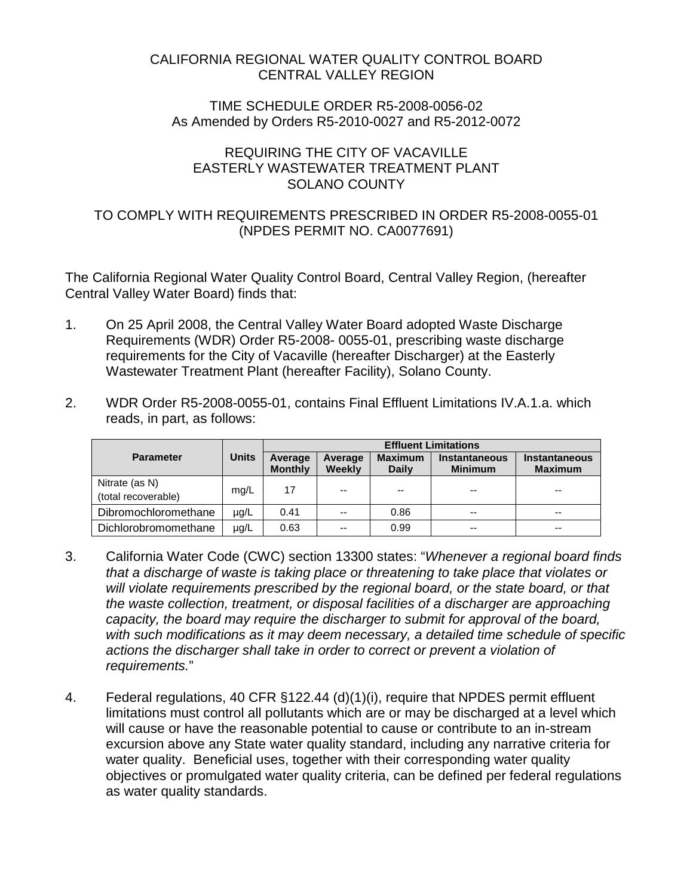### CALIFORNIA REGIONAL WATER QUALITY CONTROL BOARD CENTRAL VALLEY REGION

#### TIME SCHEDULE ORDER R5-2008-0056-02 As Amended by Orders R5-2010-0027 and R5-2012-0072

### REQUIRING THE CITY OF VACAVILLE EASTERLY WASTEWATER TREATMENT PLANT SOLANO COUNTY

## TO COMPLY WITH REQUIREMENTS PRESCRIBED IN ORDER R5-2008-0055-01 (NPDES PERMIT NO. CA0077691)

The California Regional Water Quality Control Board, Central Valley Region, (hereafter Central Valley Water Board) finds that:

- 1. On 25 April 2008, the Central Valley Water Board adopted Waste Discharge Requirements (WDR) Order R5-2008- 0055-01, prescribing waste discharge requirements for the City of Vacaville (hereafter Discharger) at the Easterly Wastewater Treatment Plant (hereafter Facility), Solano County.
- 2. WDR Order R5-2008-0055-01, contains Final Effluent Limitations IV.A.1.a. which reads, in part, as follows:

|                                       |       | <b>Effluent Limitations</b> |                   |                                |                                        |                                        |
|---------------------------------------|-------|-----------------------------|-------------------|--------------------------------|----------------------------------------|----------------------------------------|
| <b>Parameter</b>                      | Units | Average<br><b>Monthly</b>   | Average<br>Weekly | <b>Maximum</b><br><b>Daily</b> | <b>Instantaneous</b><br><b>Minimum</b> | <b>Instantaneous</b><br><b>Maximum</b> |
| Nitrate (as N)<br>(total recoverable) | mg/L  | 17                          | $-$               | $- -$                          | $- -$                                  | $- -$                                  |
| Dibromochloromethane                  | µg/L  | 0.41                        | $-$               | 0.86                           | $- -$                                  | $- -$                                  |
| Dichlorobromomethane                  | µg/L  | 0.63                        | --                | 0.99                           | $- -$                                  | $- -$                                  |

- 3. California Water Code (CWC) section 13300 states: "*Whenever a regional board finds that a discharge of waste is taking place or threatening to take place that violates or will violate requirements prescribed by the regional board, or the state board, or that the waste collection, treatment, or disposal facilities of a discharger are approaching capacity, the board may require the discharger to submit for approval of the board, with such modifications as it may deem necessary, a detailed time schedule of specific actions the discharger shall take in order to correct or prevent a violation of requirements.*"
- 4. Federal regulations, 40 CFR §122.44 (d)(1)(i), require that NPDES permit effluent limitations must control all pollutants which are or may be discharged at a level which will cause or have the reasonable potential to cause or contribute to an in-stream excursion above any State water quality standard, including any narrative criteria for water quality. Beneficial uses, together with their corresponding water quality objectives or promulgated water quality criteria, can be defined per federal regulations as water quality standards.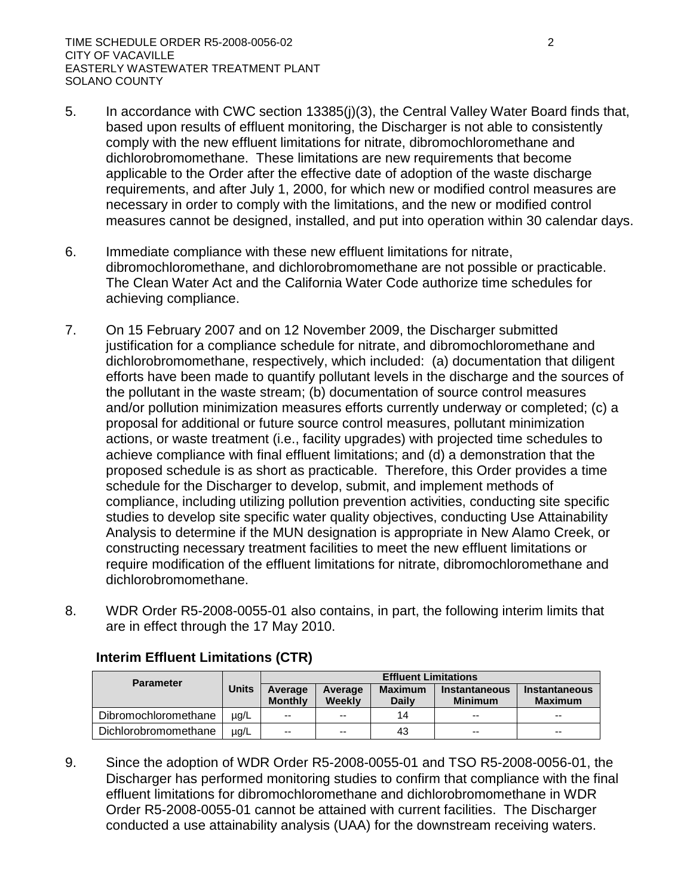- 5. In accordance with CWC section 13385(j)(3), the Central Valley Water Board finds that, based upon results of effluent monitoring, the Discharger is not able to consistently comply with the new effluent limitations for nitrate, dibromochloromethane and dichlorobromomethane. These limitations are new requirements that become applicable to the Order after the effective date of adoption of the waste discharge requirements, and after July 1, 2000, for which new or modified control measures are necessary in order to comply with the limitations, and the new or modified control measures cannot be designed, installed, and put into operation within 30 calendar days.
- 6. Immediate compliance with these new effluent limitations for nitrate, dibromochloromethane, and dichlorobromomethane are not possible or practicable. The Clean Water Act and the California Water Code authorize time schedules for achieving compliance.
- 7. On 15 February 2007 and on 12 November 2009, the Discharger submitted justification for a compliance schedule for nitrate, and dibromochloromethane and dichlorobromomethane, respectively, which included: (a) documentation that diligent efforts have been made to quantify pollutant levels in the discharge and the sources of the pollutant in the waste stream; (b) documentation of source control measures and/or pollution minimization measures efforts currently underway or completed; (c) a proposal for additional or future source control measures, pollutant minimization actions, or waste treatment (i.e., facility upgrades) with projected time schedules to achieve compliance with final effluent limitations; and (d) a demonstration that the proposed schedule is as short as practicable. Therefore, this Order provides a time schedule for the Discharger to develop, submit, and implement methods of compliance, including utilizing pollution prevention activities, conducting site specific studies to develop site specific water quality objectives, conducting Use Attainability Analysis to determine if the MUN designation is appropriate in New Alamo Creek, or constructing necessary treatment facilities to meet the new effluent limitations or require modification of the effluent limitations for nitrate, dibromochloromethane and dichlorobromomethane.
- 8. WDR Order R5-2008-0055-01 also contains, in part, the following interim limits that are in effect through the 17 May 2010.

| <b>Parameter</b>     |           | <b>Effluent Limitations</b> |                   |                                |                                        |                                        |
|----------------------|-----------|-----------------------------|-------------------|--------------------------------|----------------------------------------|----------------------------------------|
|                      | Units     | Average<br><b>Monthly</b>   | Average<br>Weekly | <b>Maximum</b><br><b>Daily</b> | <b>Instantaneous</b><br><b>Minimum</b> | <b>Instantaneous</b><br><b>Maximum</b> |
| Dibromochloromethane | $\mu$ g/L | $-$                         | $-$               | 14                             | $-$                                    | $\sim$ $\sim$                          |
| Dichlorobromomethane | $\mu$ g/L | $-$                         | $-$               | 43                             | $- -$                                  | $- -$                                  |

# **Interim Effluent Limitations (CTR)**

9. Since the adoption of WDR Order R5-2008-0055-01 and TSO R5-2008-0056-01, the Discharger has performed monitoring studies to confirm that compliance with the final effluent limitations for dibromochloromethane and dichlorobromomethane in WDR Order R5-2008-0055-01 cannot be attained with current facilities. The Discharger conducted a use attainability analysis (UAA) for the downstream receiving waters.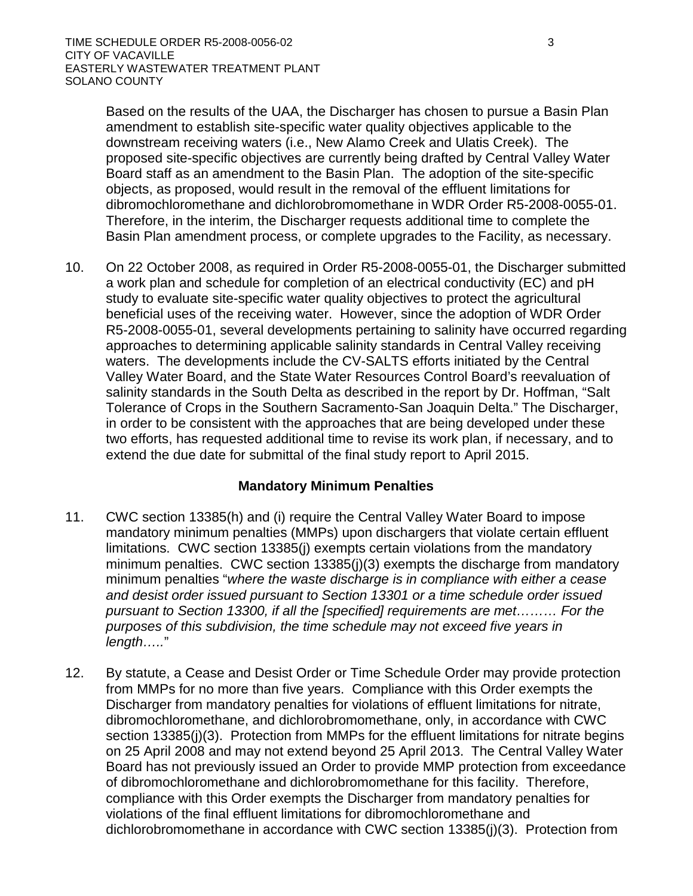Based on the results of the UAA, the Discharger has chosen to pursue a Basin Plan amendment to establish site-specific water quality objectives applicable to the downstream receiving waters (i.e., New Alamo Creek and Ulatis Creek). The proposed site-specific objectives are currently being drafted by Central Valley Water Board staff as an amendment to the Basin Plan. The adoption of the site-specific objects, as proposed, would result in the removal of the effluent limitations for dibromochloromethane and dichlorobromomethane in WDR Order R5-2008-0055-01. Therefore, in the interim, the Discharger requests additional time to complete the Basin Plan amendment process, or complete upgrades to the Facility, as necessary.

10. On 22 October 2008, as required in Order R5-2008-0055-01, the Discharger submitted a work plan and schedule for completion of an electrical conductivity (EC) and pH study to evaluate site-specific water quality objectives to protect the agricultural beneficial uses of the receiving water. However, since the adoption of WDR Order R5-2008-0055-01, several developments pertaining to salinity have occurred regarding approaches to determining applicable salinity standards in Central Valley receiving waters. The developments include the CV-SALTS efforts initiated by the Central Valley Water Board, and the State Water Resources Control Board's reevaluation of salinity standards in the South Delta as described in the report by Dr. Hoffman, "Salt Tolerance of Crops in the Southern Sacramento-San Joaquin Delta." The Discharger, in order to be consistent with the approaches that are being developed under these two efforts, has requested additional time to revise its work plan, if necessary, and to extend the due date for submittal of the final study report to April 2015.

### **Mandatory Minimum Penalties**

- 11. CWC section 13385(h) and (i) require the Central Valley Water Board to impose mandatory minimum penalties (MMPs) upon dischargers that violate certain effluent limitations. CWC section 13385(j) exempts certain violations from the mandatory minimum penalties. CWC section 13385(j)(3) exempts the discharge from mandatory minimum penalties "*where the waste discharge is in compliance with either a cease and desist order issued pursuant to Section 13301 or a time schedule order issued pursuant to Section 13300, if all the [specified] requirements are met……… For the purposes of this subdivision, the time schedule may not exceed five years in length…..*"
- 12. By statute, a Cease and Desist Order or Time Schedule Order may provide protection from MMPs for no more than five years. Compliance with this Order exempts the Discharger from mandatory penalties for violations of effluent limitations for nitrate, dibromochloromethane, and dichlorobromomethane, only, in accordance with CWC section 13385(j)(3). Protection from MMPs for the effluent limitations for nitrate begins on 25 April 2008 and may not extend beyond 25 April 2013. The Central Valley Water Board has not previously issued an Order to provide MMP protection from exceedance of dibromochloromethane and dichlorobromomethane for this facility. Therefore, compliance with this Order exempts the Discharger from mandatory penalties for violations of the final effluent limitations for dibromochloromethane and dichlorobromomethane in accordance with CWC section 13385(j)(3). Protection from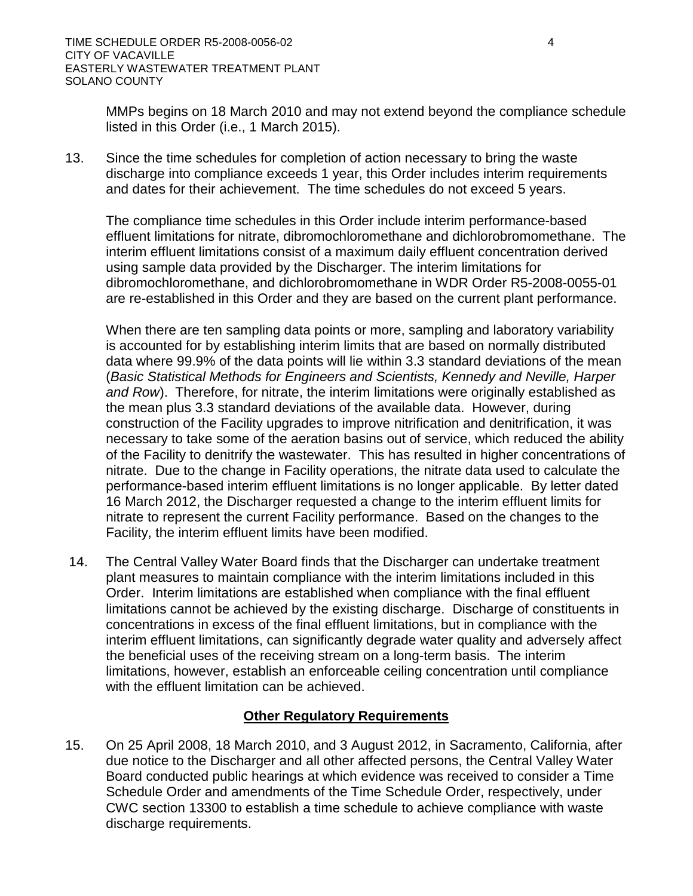MMPs begins on 18 March 2010 and may not extend beyond the compliance schedule listed in this Order (i.e., 1 March 2015).

13. Since the time schedules for completion of action necessary to bring the waste discharge into compliance exceeds 1 year, this Order includes interim requirements and dates for their achievement. The time schedules do not exceed 5 years.

The compliance time schedules in this Order include interim performance-based effluent limitations for nitrate, dibromochloromethane and dichlorobromomethane. The interim effluent limitations consist of a maximum daily effluent concentration derived using sample data provided by the Discharger. The interim limitations for dibromochloromethane, and dichlorobromomethane in WDR Order R5-2008-0055-01 are re-established in this Order and they are based on the current plant performance.

When there are ten sampling data points or more, sampling and laboratory variability is accounted for by establishing interim limits that are based on normally distributed data where 99.9% of the data points will lie within 3.3 standard deviations of the mean (*Basic Statistical Methods for Engineers and Scientists, Kennedy and Neville, Harper and Row*). Therefore, for nitrate, the interim limitations were originally established as the mean plus 3.3 standard deviations of the available data. However, during construction of the Facility upgrades to improve nitrification and denitrification, it was necessary to take some of the aeration basins out of service, which reduced the ability of the Facility to denitrify the wastewater. This has resulted in higher concentrations of nitrate. Due to the change in Facility operations, the nitrate data used to calculate the performance-based interim effluent limitations is no longer applicable. By letter dated 16 March 2012, the Discharger requested a change to the interim effluent limits for nitrate to represent the current Facility performance. Based on the changes to the Facility, the interim effluent limits have been modified.

14. The Central Valley Water Board finds that the Discharger can undertake treatment plant measures to maintain compliance with the interim limitations included in this Order. Interim limitations are established when compliance with the final effluent limitations cannot be achieved by the existing discharge. Discharge of constituents in concentrations in excess of the final effluent limitations, but in compliance with the interim effluent limitations, can significantly degrade water quality and adversely affect the beneficial uses of the receiving stream on a long-term basis. The interim limitations, however, establish an enforceable ceiling concentration until compliance with the effluent limitation can be achieved.

### **Other Regulatory Requirements**

15. On 25 April 2008, 18 March 2010, and 3 August 2012, in Sacramento, California, after due notice to the Discharger and all other affected persons, the Central Valley Water Board conducted public hearings at which evidence was received to consider a Time Schedule Order and amendments of the Time Schedule Order, respectively, under CWC section 13300 to establish a time schedule to achieve compliance with waste discharge requirements.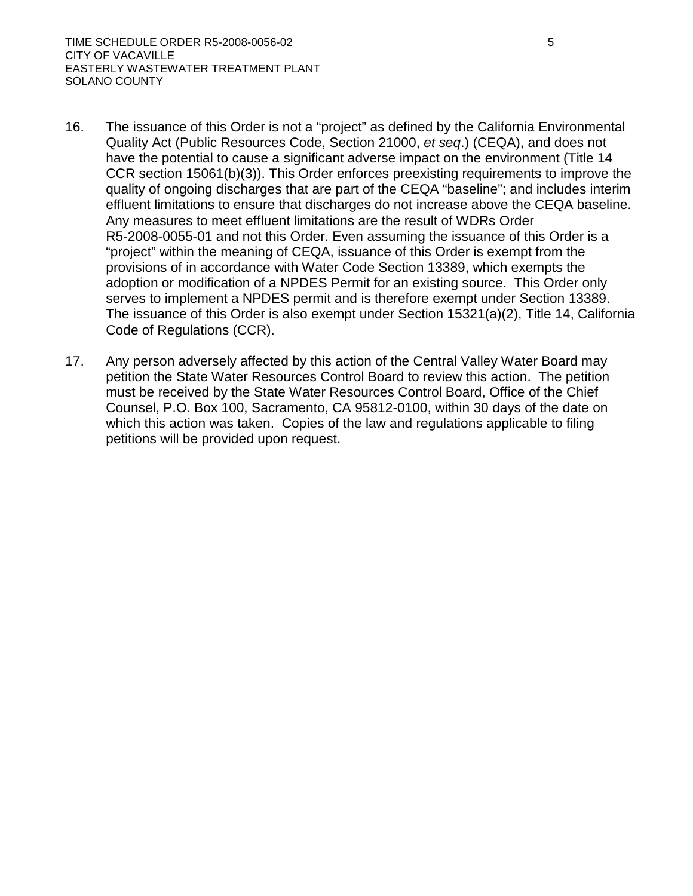- 16. The issuance of this Order is not a "project" as defined by the California Environmental Quality Act (Public Resources Code, Section 21000, *et seq*.) (CEQA), and does not have the potential to cause a significant adverse impact on the environment (Title 14 CCR section 15061(b)(3)). This Order enforces preexisting requirements to improve the quality of ongoing discharges that are part of the CEQA "baseline"; and includes interim effluent limitations to ensure that discharges do not increase above the CEQA baseline. Any measures to meet effluent limitations are the result of WDRs Order R5-2008-0055-01 and not this Order. Even assuming the issuance of this Order is a "project" within the meaning of CEQA, issuance of this Order is exempt from the provisions of in accordance with Water Code Section 13389, which exempts the adoption or modification of a NPDES Permit for an existing source. This Order only serves to implement a NPDES permit and is therefore exempt under Section 13389. The issuance of this Order is also exempt under Section 15321(a)(2), Title 14, California Code of Regulations (CCR).
- 17. Any person adversely affected by this action of the Central Valley Water Board may petition the State Water Resources Control Board to review this action. The petition must be received by the State Water Resources Control Board, Office of the Chief Counsel, P.O. Box 100, Sacramento, CA 95812-0100, within 30 days of the date on which this action was taken. Copies of the law and regulations applicable to filing petitions will be provided upon request.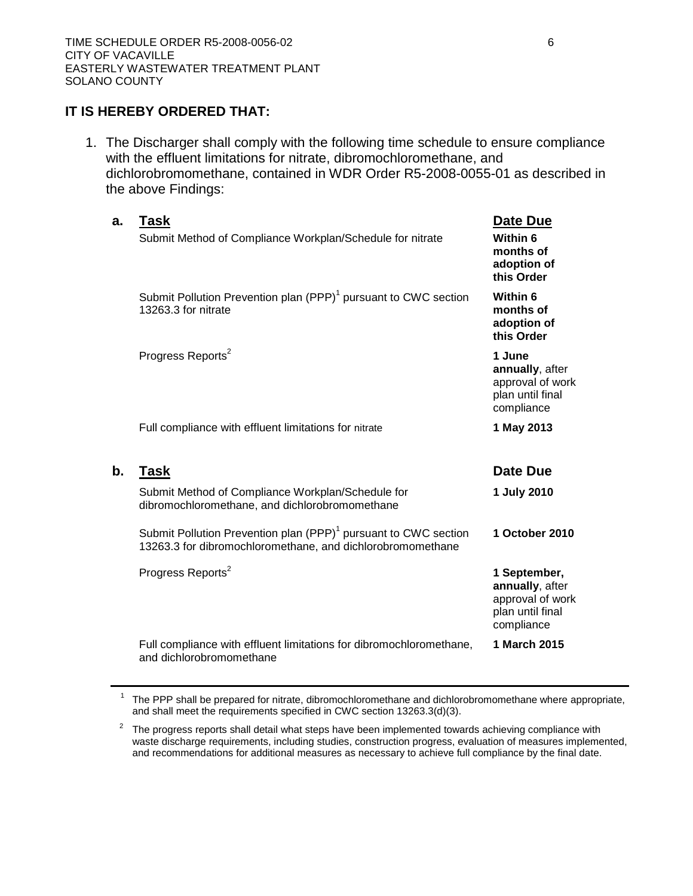### **IT IS HEREBY ORDERED THAT:**

1. The Discharger shall comply with the following time schedule to ensure compliance with the effluent limitations for nitrate, dibromochloromethane, and dichlorobromomethane, contained in WDR Order R5-2008-0055-01 as described in the above Findings:

| a.            | Task<br>Submit Method of Compliance Workplan/Schedule for nitrate                                                                         | Date Due<br>Within 6<br>months of<br>adoption of<br>this Order                        |
|---------------|-------------------------------------------------------------------------------------------------------------------------------------------|---------------------------------------------------------------------------------------|
|               | Submit Pollution Prevention plan (PPP) <sup>1</sup> pursuant to CWC section<br>13263.3 for nitrate                                        | Within 6<br>months of<br>adoption of<br>this Order                                    |
|               | Progress Reports <sup>2</sup>                                                                                                             | 1 June<br>annually, after<br>approval of work<br>plan until final<br>compliance       |
|               | Full compliance with effluent limitations for nitrate                                                                                     | 1 May 2013                                                                            |
| $\mathbf b$ . | <b>Task</b>                                                                                                                               | Date Due                                                                              |
|               | Submit Method of Compliance Workplan/Schedule for<br>dibromochloromethane, and dichlorobromomethane                                       | 1 July 2010                                                                           |
|               | Submit Pollution Prevention plan (PPP) <sup>1</sup> pursuant to CWC section<br>13263.3 for dibromochloromethane, and dichlorobromomethane | 1 October 2010                                                                        |
|               | Progress Reports <sup>2</sup>                                                                                                             | 1 September,<br>annually, after<br>approval of work<br>plan until final<br>compliance |
|               | Full compliance with effluent limitations for dibromochloromethane,<br>and dichlorobromomethane                                           | 1 March 2015                                                                          |

 $1$  The PPP shall be prepared for nitrate, dibromochloromethane and dichlorobromomethane where appropriate, and shall meet the requirements specified in CWC section 13263.3(d)(3).

 $2\degree$  The progress reports shall detail what steps have been implemented towards achieving compliance with waste discharge requirements, including studies, construction progress, evaluation of measures implemented, and recommendations for additional measures as necessary to achieve full compliance by the final date.